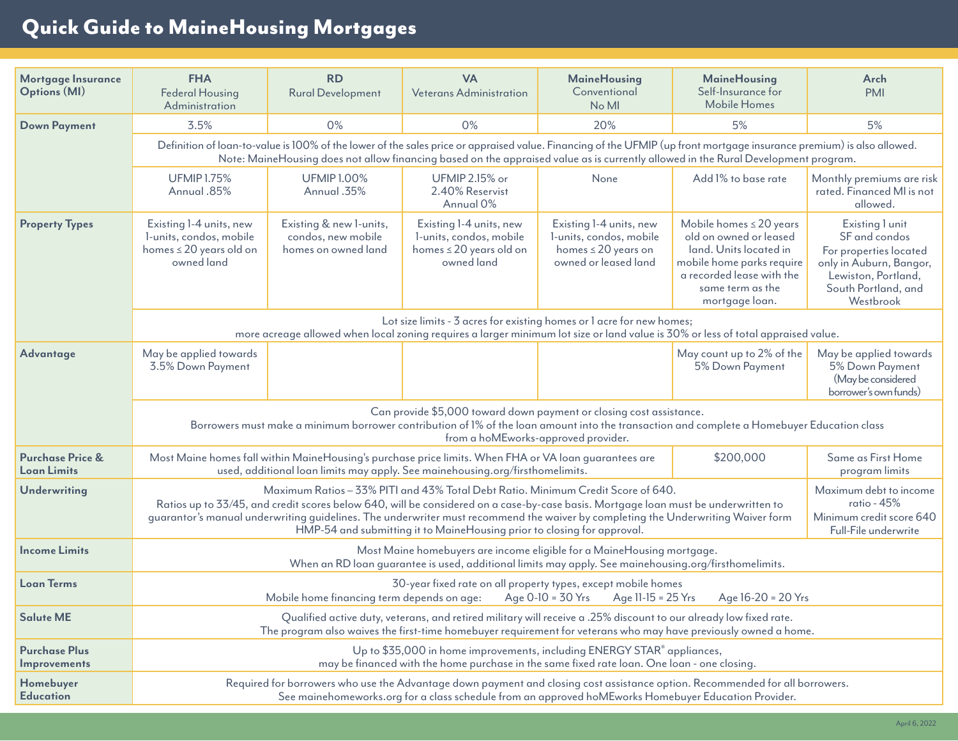# Quick Guide to MaineHousing Mortgages

| Mortgage Insurance<br><b>Options (MI)</b>         | <b>FHA</b><br><b>Federal Housing</b><br>Administration                                                                                                                                                                                                                                                                                                                                                                                                                                                                               | <b>RD</b><br><b>Rural Development</b>                                | <b>VA</b><br>Veterans Administration                                                             | MaineHousing<br>Conventional<br>No MI                                                                  | MaineHousing<br>Self-Insurance for<br><b>Mobile Homes</b>                                                                                                                   | Arch<br>PMI                                                                                                                                      |
|---------------------------------------------------|--------------------------------------------------------------------------------------------------------------------------------------------------------------------------------------------------------------------------------------------------------------------------------------------------------------------------------------------------------------------------------------------------------------------------------------------------------------------------------------------------------------------------------------|----------------------------------------------------------------------|--------------------------------------------------------------------------------------------------|--------------------------------------------------------------------------------------------------------|-----------------------------------------------------------------------------------------------------------------------------------------------------------------------------|--------------------------------------------------------------------------------------------------------------------------------------------------|
| <b>Down Payment</b>                               | 3.5%                                                                                                                                                                                                                                                                                                                                                                                                                                                                                                                                 | 0%                                                                   | 0%                                                                                               | 20%                                                                                                    | 5%                                                                                                                                                                          | 5%                                                                                                                                               |
|                                                   | Definition of loan-to-value is 100% of the lower of the sales price or appraised value. Financing of the UFMIP (up front mortgage insurance premium) is also allowed.<br>Note: MaineHousing does not allow financing based on the appraised value as is currently allowed in the Rural Development program.                                                                                                                                                                                                                          |                                                                      |                                                                                                  |                                                                                                        |                                                                                                                                                                             |                                                                                                                                                  |
|                                                   | <b>UFMIP 1.75%</b><br>Annual .85%                                                                                                                                                                                                                                                                                                                                                                                                                                                                                                    | <b>UFMIP1.00%</b><br>Annual .35%                                     | <b>UFMIP 2.15% or</b><br>2.40% Reservist<br>Annual 0%                                            | None                                                                                                   | Add 1% to base rate                                                                                                                                                         | Monthly premiums are risk<br>rated. Financed MI is not<br>allowed.                                                                               |
| <b>Property Types</b>                             | Existing 1-4 units, new<br>1-units, condos, mobile<br>homes $\leq 20$ years old on<br>owned land                                                                                                                                                                                                                                                                                                                                                                                                                                     | Existing & new 1-units,<br>condos, new mobile<br>homes on owned land | Existing 1-4 units, new<br>1-units, condos, mobile<br>homes $\leq 20$ years old on<br>owned land | Existing 1-4 units, new<br>1-units, condos, mobile<br>homes $\leq 20$ years on<br>owned or leased land | Mobile homes ≤ 20 years<br>old on owned or leased<br>land. Units located in<br>mobile home parks require<br>a recorded lease with the<br>same term as the<br>mortgage loan. | Existing 1 unit<br>SF and condos<br>For properties located<br>only in Auburn, Bangor,<br>Lewiston, Portland,<br>South Portland, and<br>Westbrook |
|                                                   | Lot size limits - 3 acres for existing homes or 1 acre for new homes;<br>more acreage allowed when local zoning requires a larger minimum lot size or land value is 30% or less of total appraised value.                                                                                                                                                                                                                                                                                                                            |                                                                      |                                                                                                  |                                                                                                        |                                                                                                                                                                             |                                                                                                                                                  |
| Advantage                                         | May be applied towards<br>3.5% Down Payment                                                                                                                                                                                                                                                                                                                                                                                                                                                                                          |                                                                      |                                                                                                  |                                                                                                        | May count up to 2% of the<br>5% Down Payment                                                                                                                                | May be applied towards<br>5% Down Payment<br>(May be considered<br>borrower's own funds)                                                         |
|                                                   | Can provide \$5,000 toward down payment or closing cost assistance.<br>Borrowers must make a minimum borrower contribution of 1% of the loan amount into the transaction and complete a Homebuyer Education class<br>from a hoMEworks-approved provider.                                                                                                                                                                                                                                                                             |                                                                      |                                                                                                  |                                                                                                        |                                                                                                                                                                             |                                                                                                                                                  |
| <b>Purchase Price &amp;</b><br><b>Loan Limits</b> | \$200,000<br>Most Maine homes fall within MaineHousing's purchase price limits. When FHA or VA loan guarantees are<br>used, additional loan limits may apply. See mainehousing.org/firsthomelimits.                                                                                                                                                                                                                                                                                                                                  |                                                                      |                                                                                                  |                                                                                                        |                                                                                                                                                                             | Same as First Home<br>program limits                                                                                                             |
| <b>Underwriting</b>                               | Maximum Ratios - 33% PITI and 43% Total Debt Ratio. Minimum Credit Score of 640.<br>Maximum debt to income<br>ratio - $45%$<br>Ratios up to 33/45, and credit scores below 640, will be considered on a case-by-case basis. Mortgage loan must be underwritten to<br>Minimum credit score 640<br>guarantor's manual underwriting guidelines. The underwriter must recommend the waiver by completing the Underwriting Waiver form<br>HMP-54 and submitting it to MaineHousing prior to closing for approval.<br>Full-File underwrite |                                                                      |                                                                                                  |                                                                                                        |                                                                                                                                                                             |                                                                                                                                                  |
| <b>Income Limits</b>                              | Most Maine homebuyers are income eligible for a MaineHousing mortgage.<br>When an RD loan guarantee is used, additional limits may apply. See mainehousing.org/firsthomelimits.                                                                                                                                                                                                                                                                                                                                                      |                                                                      |                                                                                                  |                                                                                                        |                                                                                                                                                                             |                                                                                                                                                  |
| <b>Loan Terms</b>                                 | 30-year fixed rate on all property types, except mobile homes<br>Mobile home financing term depends on age:<br>Age $0-10 = 30$ Yrs<br>Age 11-15 = 25 Yrs<br>Age 16-20 = 20 Yrs                                                                                                                                                                                                                                                                                                                                                       |                                                                      |                                                                                                  |                                                                                                        |                                                                                                                                                                             |                                                                                                                                                  |
| <b>Salute ME</b>                                  | Qualified active duty, veterans, and retired military will receive a .25% discount to our already low fixed rate.<br>The program also waives the first-time homebuyer requirement for veterans who may have previously owned a home.                                                                                                                                                                                                                                                                                                 |                                                                      |                                                                                                  |                                                                                                        |                                                                                                                                                                             |                                                                                                                                                  |
| <b>Purchase Plus</b><br>Improvements              | Up to \$35,000 in home improvements, including ENERGY STAR® appliances,<br>may be financed with the home purchase in the same fixed rate loan. One loan - one closing.                                                                                                                                                                                                                                                                                                                                                               |                                                                      |                                                                                                  |                                                                                                        |                                                                                                                                                                             |                                                                                                                                                  |
| Homebuyer<br><b>Education</b>                     | Required for borrowers who use the Advantage down payment and closing cost assistance option. Recommended for all borrowers.<br>See mainehomeworks.org for a class schedule from an approved hoMEworks Homebuyer Education Provider.                                                                                                                                                                                                                                                                                                 |                                                                      |                                                                                                  |                                                                                                        |                                                                                                                                                                             |                                                                                                                                                  |